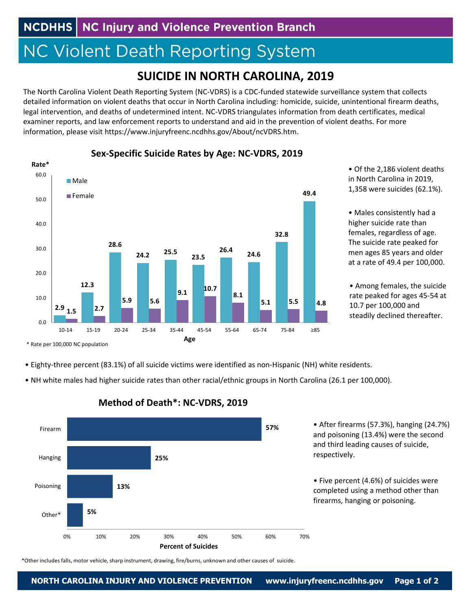# **NC Violent Death Reporting System**

# **SUICIDE IN NORTH CAROLINA, 2019**

The North Carolina Violent Death Reporting System (NC‐VDRS) is a CDC‐funded statewide surveillance system that collects detailed information on violent deaths that occur in North Carolina including: homicide, suicide, unintentional firearm deaths, legal intervention, and deaths of undetermined intent. NC‐VDRS triangulates information from death certificates, medical examiner reports, and law enforcement reports to understand and aid in the prevention of violent deaths. For more information, please visit https://www.injuryfreenc.ncdhhs.gov/About/ncVDRS.htm.



**Sex‐Specific Suicide Rates by Age: NC‐VDRS, 2019**

• Of the 2,186 violent deaths in North Carolina in 2019, 1,358 were suicides (62.1%).

• Males consistently had a higher suicide rate than females, regardless of age. The suicide rate peaked for men ages 85 years and older at a rate of 49.4 per 100,000.

• Among females, the suicide rate peaked for ages 45‐54 at 10.7 per 100,000 and steadily declined thereafter.

- Eighty‐three percent (83.1%) of all suicide victims were identified as non‐Hispanic (NH) white residents.
- NH white males had higher suicide rates than other racial/ethnic groups in North Carolina (26.1 per 100,000).



## **Method of Death\*: NC‐VDRS, 2019**

\*Other includes falls, motor vehicle, sharp instrument, drawing, fire/burns, unknown and other causes of suicide.